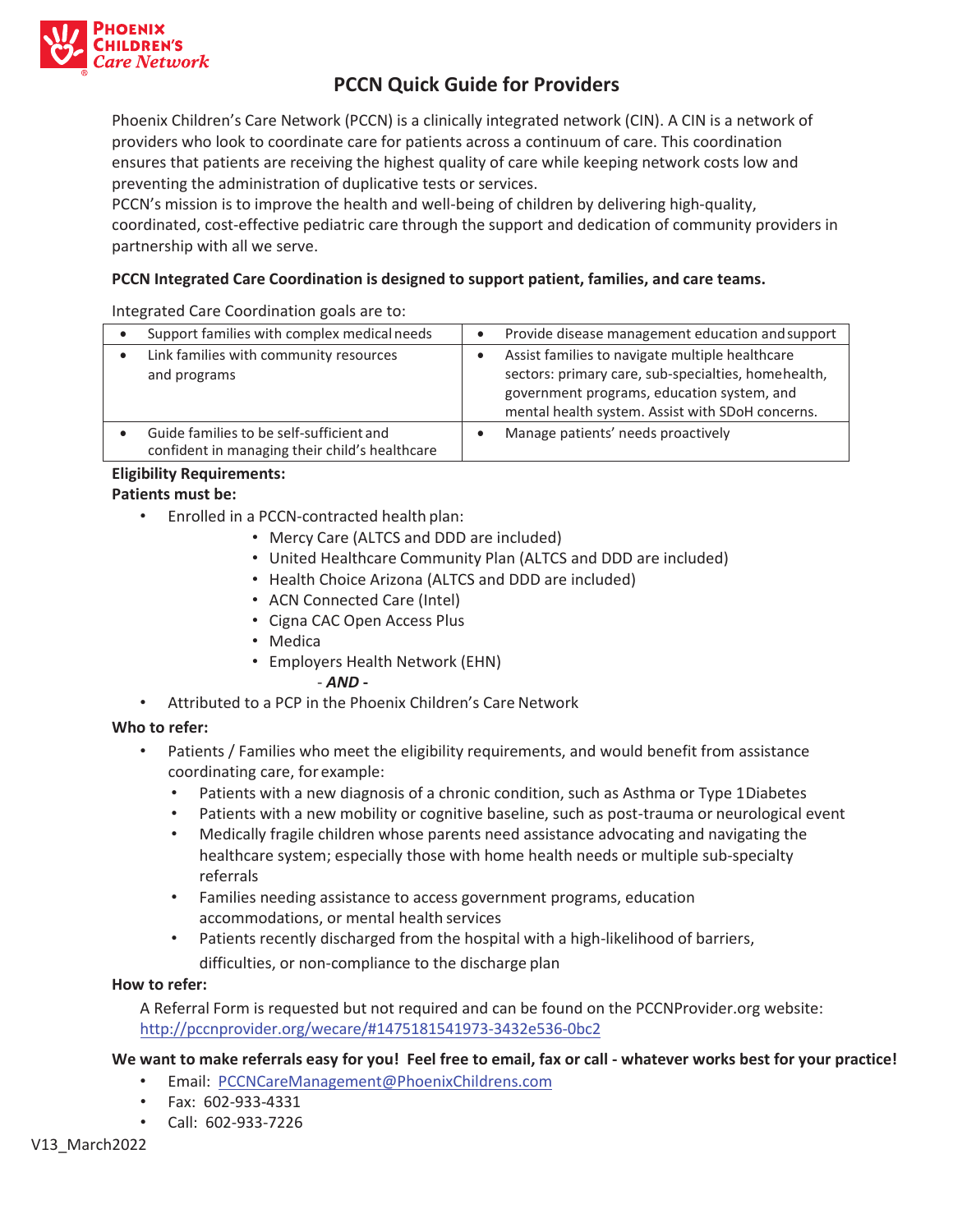

# **PCCN Quick Guide for Providers**

Phoenix Children's Care Network (PCCN) is a clinically integrated network (CIN). A CIN is a network of providers who look to coordinate care for patients across a continuum of care. This coordination ensures that patients are receiving the highest quality of care while keeping network costs low and preventing the administration of duplicative tests or services.

PCCN's mission is to improve the health and well-being of children by delivering high-quality, coordinated, cost-effective pediatric care through the support and dedication of community providers in partnership with all we serve.

# **PCCN Integrated Care Coordination is designed to support patient, families, and care teams.**

Integrated Care Coordination goals are to:

| Support families with complex medical needs                                                | $\bullet$ | Provide disease management education and support                                                                                                                                                         |
|--------------------------------------------------------------------------------------------|-----------|----------------------------------------------------------------------------------------------------------------------------------------------------------------------------------------------------------|
| Link families with community resources<br>and programs                                     |           | Assist families to navigate multiple healthcare<br>sectors: primary care, sub-specialties, homehealth,<br>government programs, education system, and<br>mental health system. Assist with SDoH concerns. |
| Guide families to be self-sufficient and<br>confident in managing their child's healthcare |           | Manage patients' needs proactively                                                                                                                                                                       |

# **Eligibility Requirements:**

# **Patients must be:**

- Enrolled in a PCCN-contracted health plan:
	- Mercy Care (ALTCS and DDD are included)
	- United Healthcare Community Plan (ALTCS and DDD are included)
	- Health Choice Arizona (ALTCS and DDD are included)
	- ACN Connected Care (Intel)
	- Cigna CAC Open Access Plus
	- Medica
	- Employers Health Network (EHN)

#### - *AND* **-**

• Attributed to a PCP in the Phoenix Children's Care Network

# **Who to refer:**

- Patients / Families who meet the eligibility requirements, and would benefit from assistance coordinating care, for example:
	- Patients with a new diagnosis of a chronic condition, such as Asthma or Type 1 Diabetes
	- Patients with a new mobility or cognitive baseline, such as post-trauma or neurological event
	- Medically fragile children whose parents need assistance advocating and navigating the healthcare system; especially those with home health needs or multiple sub-specialty referrals
	- Families needing assistance to access government programs, education accommodations, or mental health services
	- Patients recently discharged from the hospital with a high-likelihood of barriers, difficulties, or non-compliance to the discharge plan

# **How to refer:**

A Referral Form is requested but not required and can be found on the PCCNProvider.org website: http://pccnprovider.org/wecare/#1475181541973-3432e536-0bc2

# **We want to make referrals easy for you! Feel free to email, fax or call - whatever works best for your practice!**

- Email: PCCNCareManagement@PhoenixChildrens.com
- Fax: 602-933-4331
- Call: 602-933-7226